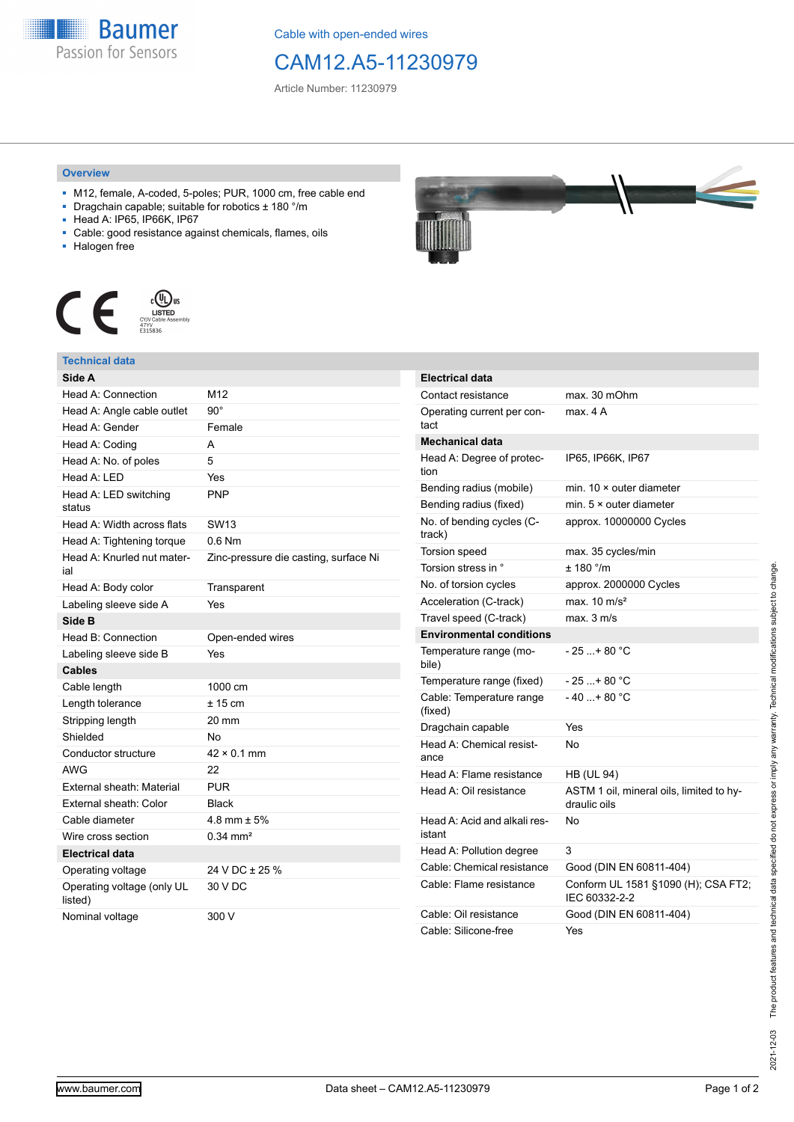

Cable with open-ended wires

# CAM12.A5-11230979

Article Number: 11230979

### **Overview**

- M12, female, A-coded, 5-poles; PUR, 1000 cm, free cable end
- Dragchain capable; suitable for robotics ± 180 °/m
- Head A: IP65, IP66K, IP67
- Cable: good resistance against chemicals, flames, oils
- Halogen free



## **Technical data**

| Side A                                |                                       |
|---------------------------------------|---------------------------------------|
| Head A: Connection                    | M12                                   |
| Head A: Angle cable outlet            | $90^\circ$                            |
| Head A: Gender                        | Female                                |
| Head A: Coding                        | А                                     |
| Head A: No. of poles                  | 5                                     |
| Head A: LED                           | Yes                                   |
| Head A: LED switching<br>status       | <b>PNP</b>                            |
| Head A: Width across flats            | <b>SW13</b>                           |
| Head A: Tightening torque             | $0.6$ Nm                              |
| Head A: Knurled nut mater-<br>ial     | Zinc-pressure die casting, surface Ni |
| Head A: Body color                    | Transparent                           |
| Labeling sleeve side A                | Yes                                   |
| Side B                                |                                       |
| Head B: Connection                    | Open-ended wires                      |
| Labeling sleeve side B                | Yes                                   |
| <b>Cables</b>                         |                                       |
| Cable length                          | 1000 cm                               |
| Length tolerance                      | $± 15$ cm                             |
| Stripping length                      | $20 \text{ mm}$                       |
| Shielded                              | No                                    |
| Conductor structure                   | $42 \times 0.1$ mm                    |
| <b>AWG</b>                            | 22                                    |
| External sheath: Material             | <b>PUR</b>                            |
| External sheath: Color                | <b>Black</b>                          |
| Cable diameter                        | 4.8 mm $\pm$ 5%                       |
| Wire cross section                    | $0.34 \, \text{mm}^2$                 |
| <b>Electrical data</b>                |                                       |
| Operating voltage                     | 24 V DC ± 25 %                        |
| Operating voltage (only UL<br>listed) | 30 V DC                               |
| Nominal voltage                       | 300 V                                 |



| <b>Electrical data</b>                 |                                                          |  |
|----------------------------------------|----------------------------------------------------------|--|
| Contact resistance                     | max. 30 mOhm                                             |  |
| Operating current per con-<br>tact     | max. 4 A                                                 |  |
| <b>Mechanical data</b>                 |                                                          |  |
| Head A: Degree of protec-<br>tion      | IP65, IP66K, IP67                                        |  |
| Bending radius (mobile)                | min. $10 \times$ outer diameter                          |  |
| Bending radius (fixed)                 | min. $5 \times$ outer diameter                           |  |
| No. of bending cycles (C-<br>track)    | approx. 10000000 Cycles                                  |  |
| Torsion speed                          | max. 35 cycles/min                                       |  |
| Torsion stress in °                    | ± 180 °/m                                                |  |
| No. of torsion cycles                  | approx. 2000000 Cycles                                   |  |
| Acceleration (C-track)                 | max. $10 \text{ m/s}^2$                                  |  |
| Travel speed (C-track)                 | max. 3 m/s                                               |  |
| <b>Environmental conditions</b>        |                                                          |  |
| Temperature range (mo-<br>bile)        | - 25 + 80 °C                                             |  |
| Temperature range (fixed)              | - 25 + 80 °C                                             |  |
| Cable: Temperature range<br>(fixed)    | $-40+80 °C$                                              |  |
| Dragchain capable                      | Yes                                                      |  |
| Head A: Chemical resist-<br>ance       | No                                                       |  |
| Head A: Flame resistance               | <b>HB (UL 94)</b>                                        |  |
| Head A: Oil resistance                 | ASTM 1 oil, mineral oils, limited to hy-<br>draulic oils |  |
| Head A: Acid and alkali res-<br>istant | No                                                       |  |
| Head A: Pollution degree               | 3                                                        |  |
| Cable: Chemical resistance             | Good (DIN EN 60811-404)                                  |  |
| Cable: Flame resistance                | Conform UL 1581 §1090 (H); CSA FT2;<br>IEC 60332-2-2     |  |
| Cable: Oil resistance                  | Good (DIN EN 60811-404)                                  |  |
| Cable: Silicone-free                   | Yes                                                      |  |